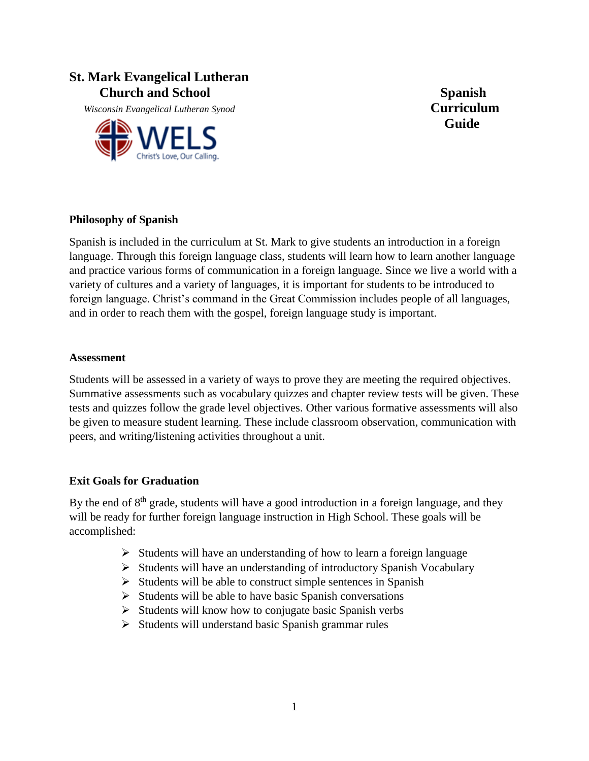# **St. Mark Evangelical Lutheran**  *Church and School* **Spanish Spanish Spanish Spanish Spanish**

 *Wisconsin Evangelical Lutheran Synod* **Curriculum**



**Guide**

## **Philosophy of Spanish**

Spanish is included in the curriculum at St. Mark to give students an introduction in a foreign language. Through this foreign language class, students will learn how to learn another language and practice various forms of communication in a foreign language. Since we live a world with a variety of cultures and a variety of languages, it is important for students to be introduced to foreign language. Christ's command in the Great Commission includes people of all languages, and in order to reach them with the gospel, foreign language study is important.

#### **Assessment**

Students will be assessed in a variety of ways to prove they are meeting the required objectives. Summative assessments such as vocabulary quizzes and chapter review tests will be given. These tests and quizzes follow the grade level objectives. Other various formative assessments will also be given to measure student learning. These include classroom observation, communication with peers, and writing/listening activities throughout a unit.

## **Exit Goals for Graduation**

By the end of 8<sup>th</sup> grade, students will have a good introduction in a foreign language, and they will be ready for further foreign language instruction in High School. These goals will be accomplished:

- $\triangleright$  Students will have an understanding of how to learn a foreign language
- $\triangleright$  Students will have an understanding of introductory Spanish Vocabulary
- $\triangleright$  Students will be able to construct simple sentences in Spanish
- $\triangleright$  Students will be able to have basic Spanish conversations
- $\triangleright$  Students will know how to conjugate basic Spanish verbs
- $\triangleright$  Students will understand basic Spanish grammar rules